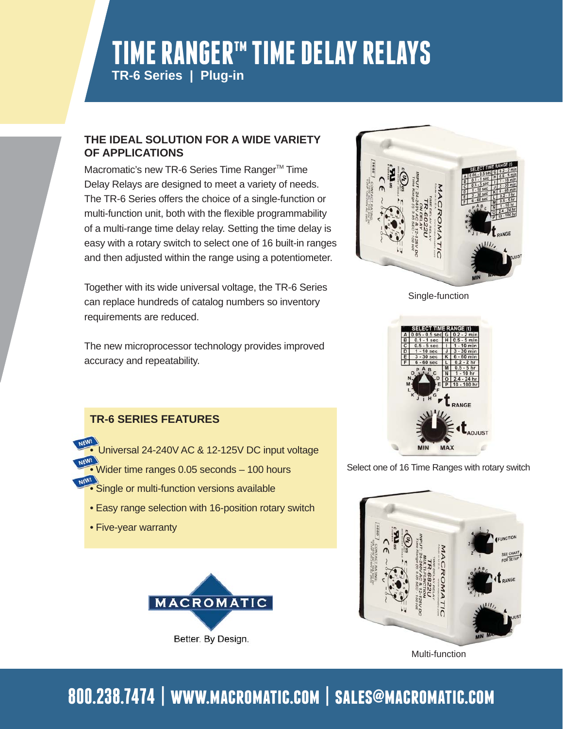## **TIME RANGERtm TIME DELAY RELAYS TR-6 Series | Plug-in**

#### **THE IDEAL SOLUTION FOR A WIDE VARIETY OF APPLICATIONS**

Macromatic's new TR-6 Series Time Ranger<sup>™</sup> Time Delay Relays are designed to meet a variety of needs. The TR-6 Series offers the choice of a single-function or multi-function unit, both with the flexible programmability of a multi-range time delay relay. Setting the time delay is easy with a rotary switch to select one of 16 built-in ranges and then adjusted within the range using a potentiometer.

Together with its wide universal voltage, the TR-6 Series can replace hundreds of catalog numbers so inventory requirements are reduced.

The new microprocessor technology provides improved accuracy and repeatability.



Single-function



Select one of 16 Time Ranges with rotary switch



Multi-function

### **TR-6 SERIES FEATURES**

- Universal 24-240V AC & 12-125V DC input voltage
- Wider time ranges 0.05 seconds 100 hours
- Single or multi-function versions available
- Easy range selection with 16-position rotary switch
- Five-year warranty



# **800.238.7474 | www.macromatic.com | sales@macromatic.com**